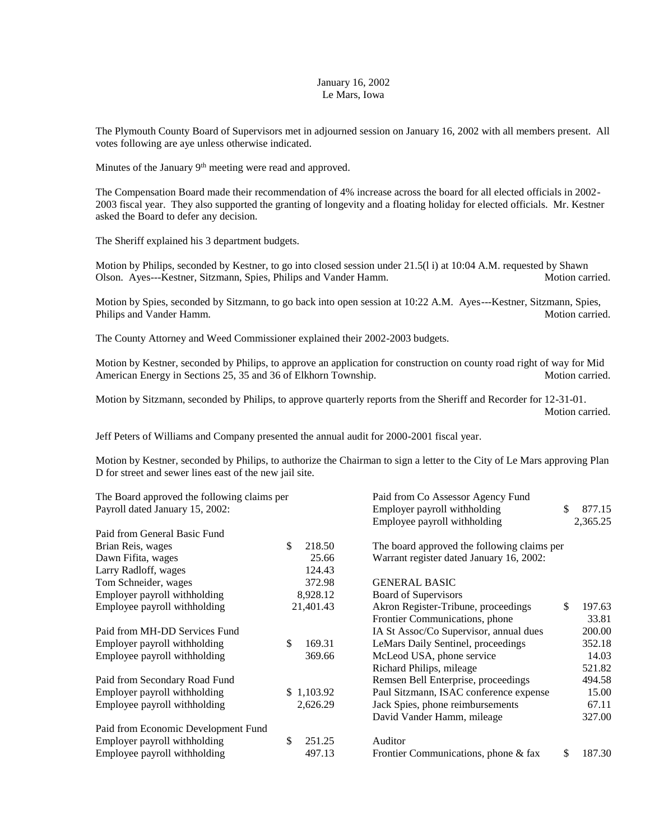## January 16, 2002 Le Mars, Iowa

The Plymouth County Board of Supervisors met in adjourned session on January 16, 2002 with all members present. All votes following are aye unless otherwise indicated.

Minutes of the January  $9<sup>th</sup>$  meeting were read and approved.

The Compensation Board made their recommendation of 4% increase across the board for all elected officials in 2002- 2003 fiscal year. They also supported the granting of longevity and a floating holiday for elected officials. Mr. Kestner asked the Board to defer any decision.

The Sheriff explained his 3 department budgets.

Motion by Philips, seconded by Kestner, to go into closed session under 21.5(l i) at 10:04 A.M. requested by Shawn Olson. Ayes---Kestner, Sitzmann, Spies, Philips and Vander Hamm. Motion carried.

Motion by Spies, seconded by Sitzmann, to go back into open session at 10:22 A.M. Ayes---Kestner, Sitzmann, Spies, Philips and Vander Hamm. The state of the state of the state of the state of the Motion carried.

The County Attorney and Weed Commissioner explained their 2002-2003 budgets.

Motion by Kestner, seconded by Philips, to approve an application for construction on county road right of way for Mid American Energy in Sections 25, 35 and 36 of Elkhorn Township. Motion Carried.

Motion by Sitzmann, seconded by Philips, to approve quarterly reports from the Sheriff and Recorder for 12-31-01. Motion carried.

Jeff Peters of Williams and Company presented the annual audit for 2000-2001 fiscal year.

Motion by Kestner, seconded by Philips, to authorize the Chairman to sign a letter to the City of Le Mars approving Plan D for street and sewer lines east of the new jail site.

| The Board approved the following claims per |              | Paid from Co Assessor Agency Fund           |    |          |
|---------------------------------------------|--------------|---------------------------------------------|----|----------|
| Payroll dated January 15, 2002:             |              | Employer payroll withholding                |    | 877.15   |
|                                             |              | Employee payroll withholding                |    | 2,365.25 |
| Paid from General Basic Fund                |              |                                             |    |          |
| Brian Reis, wages                           | \$<br>218.50 | The board approved the following claims per |    |          |
| Dawn Fifita, wages                          | 25.66        | Warrant register dated January 16, 2002:    |    |          |
| Larry Radloff, wages                        | 124.43       |                                             |    |          |
| Tom Schneider, wages                        | 372.98       | <b>GENERAL BASIC</b>                        |    |          |
| Employer payroll withholding                | 8,928.12     | <b>Board of Supervisors</b>                 |    |          |
| Employee payroll withholding                | 21,401.43    | Akron Register-Tribune, proceedings         | \$ | 197.63   |
|                                             |              | Frontier Communications, phone              |    | 33.81    |
| Paid from MH-DD Services Fund               |              | IA St Assoc/Co Supervisor, annual dues      |    | 200.00   |
| Employer payroll withholding                | \$<br>169.31 | LeMars Daily Sentinel, proceedings          |    | 352.18   |
| Employee payroll withholding                | 369.66       | McLeod USA, phone service                   |    | 14.03    |
|                                             |              | Richard Philips, mileage                    |    | 521.82   |
| Paid from Secondary Road Fund               |              | Remsen Bell Enterprise, proceedings         |    | 494.58   |
| Employer payroll withholding                | \$1,103.92   | Paul Sitzmann, ISAC conference expense      |    | 15.00    |
| Employee payroll withholding                | 2,626.29     | Jack Spies, phone reimbursements            |    | 67.11    |
|                                             |              | David Vander Hamm, mileage                  |    | 327.00   |
| Paid from Economic Development Fund         |              |                                             |    |          |
| Employer payroll withholding                | \$<br>251.25 | Auditor                                     |    |          |
| Employee payroll withholding                | 497.13       | Frontier Communications, phone & fax        | \$ | 187.30   |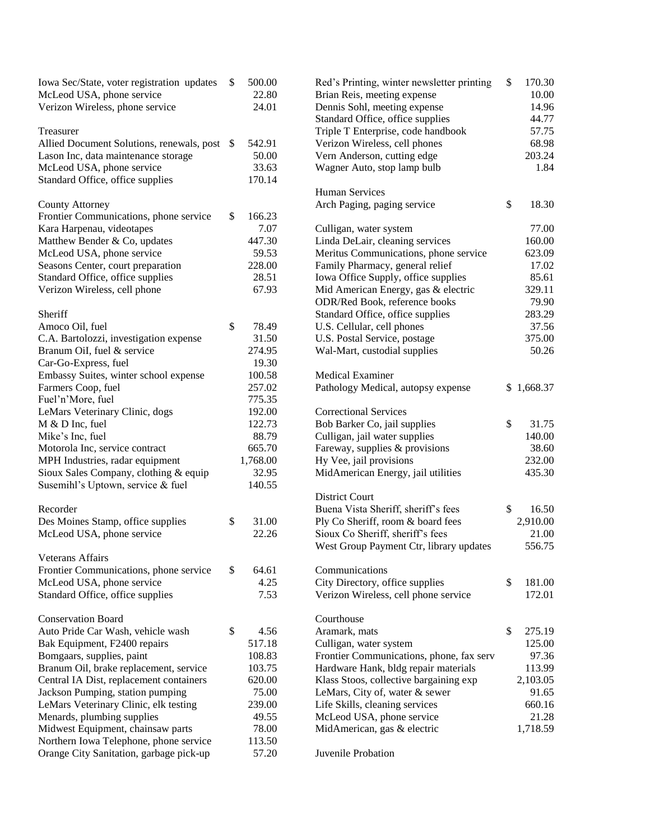| Iowa Sec/State, voter registration updates<br>McLeod USA, phone service<br>Verizon Wireless, phone service | \$<br>500.00<br>22.80<br>24.01 | Red's Printing, winter newsletter printing<br>Brian Reis, meeting expense<br>Dennis Sohl, meeting expense | \$<br>170.30<br>10.00<br>14.96 |
|------------------------------------------------------------------------------------------------------------|--------------------------------|-----------------------------------------------------------------------------------------------------------|--------------------------------|
|                                                                                                            |                                | Standard Office, office supplies                                                                          | 44.77                          |
| Treasurer                                                                                                  |                                | Triple T Enterprise, code handbook                                                                        | 57.75                          |
| Allied Document Solutions, renewals, post \$                                                               | 542.91                         | Verizon Wireless, cell phones                                                                             | 68.98                          |
| Lason Inc, data maintenance storage                                                                        | 50.00                          | Vern Anderson, cutting edge                                                                               | 203.24                         |
| McLeod USA, phone service                                                                                  | 33.63                          | Wagner Auto, stop lamp bulb                                                                               | 1.84                           |
| Standard Office, office supplies                                                                           | 170.14                         |                                                                                                           |                                |
|                                                                                                            |                                | <b>Human Services</b>                                                                                     |                                |
| <b>County Attorney</b>                                                                                     |                                | Arch Paging, paging service                                                                               | \$<br>18.30                    |
| Frontier Communications, phone service                                                                     | \$<br>166.23                   |                                                                                                           |                                |
| Kara Harpenau, videotapes                                                                                  | 7.07                           | Culligan, water system                                                                                    | 77.00                          |
| Matthew Bender & Co, updates                                                                               | 447.30                         | Linda DeLair, cleaning services                                                                           | 160.00                         |
| McLeod USA, phone service                                                                                  | 59.53                          | Meritus Communications, phone service                                                                     | 623.09                         |
| Seasons Center, court preparation                                                                          | 228.00                         | Family Pharmacy, general relief                                                                           | 17.02                          |
| Standard Office, office supplies                                                                           | 28.51                          | Iowa Office Supply, office supplies                                                                       | 85.61                          |
| Verizon Wireless, cell phone                                                                               | 67.93                          | Mid American Energy, gas & electric                                                                       | 329.11                         |
|                                                                                                            |                                | ODR/Red Book, reference books                                                                             | 79.90                          |
| Sheriff                                                                                                    |                                | Standard Office, office supplies                                                                          | 283.29                         |
| Amoco Oil, fuel                                                                                            | \$<br>78.49                    | U.S. Cellular, cell phones                                                                                | 37.56                          |
| C.A. Bartolozzi, investigation expense                                                                     | 31.50                          | U.S. Postal Service, postage                                                                              | 375.00                         |
| Branum OiI, fuel & service                                                                                 | 274.95                         | Wal-Mart, custodial supplies                                                                              | 50.26                          |
| Car-Go-Express, fuel                                                                                       | 19.30                          |                                                                                                           |                                |
| Embassy Suites, winter school expense                                                                      | 100.58                         | <b>Medical Examiner</b>                                                                                   |                                |
| Farmers Coop, fuel                                                                                         | 257.02                         | Pathology Medical, autopsy expense                                                                        | \$1,668.37                     |
| Fuel'n'More, fuel                                                                                          | 775.35                         |                                                                                                           |                                |
| LeMars Veterinary Clinic, dogs                                                                             | 192.00                         | <b>Correctional Services</b>                                                                              |                                |
| M & D Inc, fuel                                                                                            | 122.73                         | Bob Barker Co, jail supplies                                                                              | \$<br>31.75                    |
| Mike's Inc, fuel                                                                                           | 88.79                          | Culligan, jail water supplies                                                                             | 140.00                         |
| Motorola Inc, service contract                                                                             | 665.70                         | Fareway, supplies & provisions                                                                            | 38.60                          |
| MPH Industries, radar equipment                                                                            | 1,768.00                       | Hy Vee, jail provisions                                                                                   | 232.00                         |
| Sioux Sales Company, clothing & equip                                                                      | 32.95                          | MidAmerican Energy, jail utilities                                                                        | 435.30                         |
| Susemihl's Uptown, service & fuel                                                                          | 140.55                         |                                                                                                           |                                |
|                                                                                                            |                                | <b>District Court</b>                                                                                     |                                |
| Recorder                                                                                                   |                                | Buena Vista Sheriff, sheriff's fees                                                                       | \$<br>16.50                    |
|                                                                                                            | \$                             | Ply Co Sheriff, room & board fees                                                                         |                                |
| Des Moines Stamp, office supplies                                                                          | 31.00<br>22.26                 |                                                                                                           | 2,910.00                       |
| McLeod USA, phone service                                                                                  |                                | Sioux Co Sheriff, sheriff's fees                                                                          | 21.00                          |
|                                                                                                            |                                | West Group Payment Ctr, library updates                                                                   | 556.75                         |
| <b>Veterans Affairs</b>                                                                                    |                                |                                                                                                           |                                |
| Frontier Communications, phone service                                                                     | \$<br>64.61<br>4.25            | Communications                                                                                            | \$                             |
| McLeod USA, phone service                                                                                  |                                | City Directory, office supplies                                                                           | 181.00                         |
| Standard Office, office supplies                                                                           | 7.53                           | Verizon Wireless, cell phone service                                                                      | 172.01                         |
|                                                                                                            |                                |                                                                                                           |                                |
| <b>Conservation Board</b>                                                                                  |                                | Courthouse                                                                                                |                                |
| Auto Pride Car Wash, vehicle wash                                                                          | \$<br>4.56                     | Aramark, mats                                                                                             | \$<br>275.19                   |
| Bak Equipment, F2400 repairs                                                                               | 517.18                         | Culligan, water system                                                                                    | 125.00                         |
| Bomgaars, supplies, paint                                                                                  | 108.83                         | Frontier Communications, phone, fax serv                                                                  | 97.36                          |
| Branum Oil, brake replacement, service                                                                     | 103.75                         | Hardware Hank, bldg repair materials                                                                      | 113.99                         |
| Central IA Dist, replacement containers                                                                    | 620.00                         | Klass Stoos, collective bargaining exp                                                                    | 2,103.05                       |
| Jackson Pumping, station pumping                                                                           | 75.00                          | LeMars, City of, water & sewer                                                                            | 91.65                          |
| LeMars Veterinary Clinic, elk testing                                                                      | 239.00                         | Life Skills, cleaning services                                                                            | 660.16                         |
| Menards, plumbing supplies                                                                                 | 49.55                          | McLeod USA, phone service                                                                                 | 21.28                          |
| Midwest Equipment, chainsaw parts                                                                          | 78.00                          | MidAmerican, gas & electric                                                                               | 1,718.59                       |
| Northern Iowa Telephone, phone service                                                                     | 113.50                         |                                                                                                           |                                |
| Orange City Sanitation, garbage pick-up                                                                    | 57.20                          | Juvenile Probation                                                                                        |                                |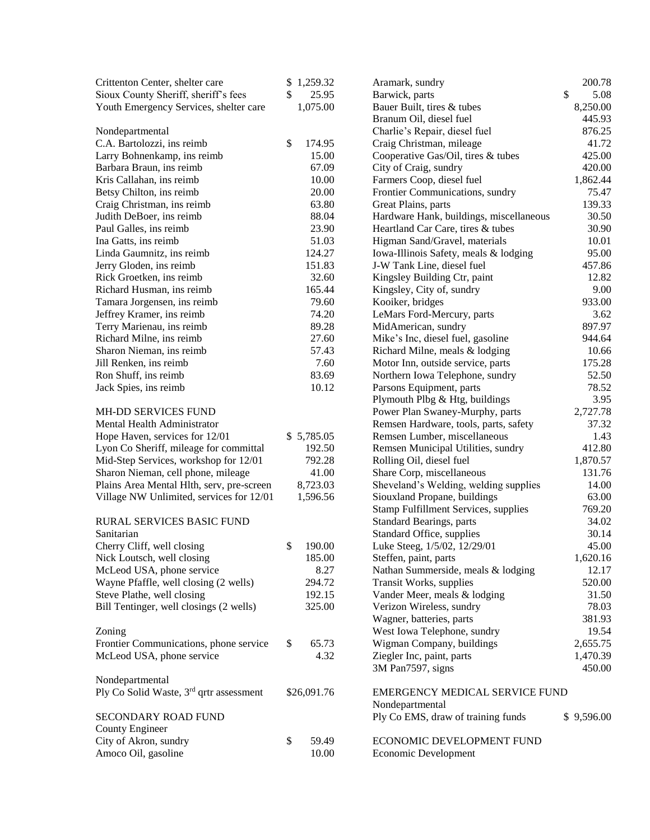| Crittenton Center, shelter care                     | \$1,259.32   | Aramark, sundry                                                             | 200.78         |
|-----------------------------------------------------|--------------|-----------------------------------------------------------------------------|----------------|
| Sioux County Sheriff, sheriff's fees                | \$<br>25.95  | Barwick, parts                                                              | \$<br>5.08     |
| Youth Emergency Services, shelter care              | 1,075.00     | Bauer Built, tires & tubes                                                  | 8,250.00       |
|                                                     |              | Branum Oil, diesel fuel                                                     | 445.93         |
| Nondepartmental                                     |              | Charlie's Repair, diesel fuel                                               | 876.25         |
| C.A. Bartolozzi, ins reimb                          | \$<br>174.95 | Craig Christman, mileage                                                    | 41.72          |
| Larry Bohnenkamp, ins reimb                         | 15.00        | Cooperative Gas/Oil, tires & tubes                                          | 425.00         |
| Barbara Braun, ins reimb                            | 67.09        | City of Craig, sundry                                                       | 420.00         |
| Kris Callahan, ins reimb                            | 10.00        | Farmers Coop, diesel fuel                                                   | 1,862.44       |
| Betsy Chilton, ins reimb                            | 20.00        | Frontier Communications, sundry                                             | 75.47          |
| Craig Christman, ins reimb                          | 63.80        | Great Plains, parts                                                         | 139.33         |
| Judith DeBoer, ins reimb                            | 88.04        | Hardware Hank, buildings, miscellaneous                                     | 30.50          |
| Paul Galles, ins reimb                              | 23.90        | Heartland Car Care, tires & tubes                                           | 30.90          |
| Ina Gatts, ins reimb                                | 51.03        | Higman Sand/Gravel, materials                                               | 10.01          |
| Linda Gaumnitz, ins reimb                           | 124.27       | Iowa-Illinois Safety, meals & lodging                                       | 95.00          |
| Jerry Gloden, ins reimb                             | 151.83       | J-W Tank Line, diesel fuel                                                  | 457.86         |
| Rick Groetken, ins reimb                            | 32.60        | Kingsley Building Ctr, paint                                                | 12.82          |
| Richard Husman, ins reimb                           | 165.44       | Kingsley, City of, sundry                                                   | 9.00           |
| Tamara Jorgensen, ins reimb                         | 79.60        | Kooiker, bridges                                                            | 933.00         |
| Jeffrey Kramer, ins reimb                           | 74.20        | LeMars Ford-Mercury, parts                                                  | 3.62           |
| Terry Marienau, ins reimb                           | 89.28        | MidAmerican, sundry                                                         | 897.97         |
| Richard Milne, ins reimb                            | 27.60        | Mike's Inc, diesel fuel, gasoline                                           | 944.64         |
| Sharon Nieman, ins reimb                            | 57.43        | Richard Milne, meals & lodging                                              | 10.66          |
| Jill Renken, ins reimb                              | 7.60         | Motor Inn, outside service, parts                                           | 175.28         |
| Ron Shuff, ins reimb                                | 83.69        | Northern Iowa Telephone, sundry                                             | 52.50          |
| Jack Spies, ins reimb                               | 10.12        | Parsons Equipment, parts                                                    | 78.52          |
|                                                     |              | Plymouth Plbg & Htg, buildings                                              | 3.95           |
| MH-DD SERVICES FUND                                 |              | Power Plan Swaney-Murphy, parts                                             | 2,727.78       |
| Mental Health Administrator                         |              | Remsen Hardware, tools, parts, safety                                       | 37.32          |
| Hope Haven, services for 12/01                      | \$5,785.05   | Remsen Lumber, miscellaneous                                                | 1.43           |
| Lyon Co Sheriff, mileage for committal              | 192.50       | Remsen Municipal Utilities, sundry                                          | 412.80         |
| Mid-Step Services, workshop for 12/01               | 792.28       | Rolling Oil, diesel fuel                                                    | 1,870.57       |
| Sharon Nieman, cell phone, mileage                  | 41.00        | Share Corp, miscellaneous                                                   | 131.76         |
|                                                     | 8,723.03     | Sheveland's Welding, welding supplies                                       | 14.00          |
| Plains Area Mental Hlth, serv, pre-screen           |              |                                                                             | 63.00          |
| Village NW Unlimited, services for 12/01            | 1,596.56     | Siouxland Propane, buildings<br><b>Stamp Fulfillment Services, supplies</b> | 769.20         |
| RURAL SERVICES BASIC FUND                           |              | <b>Standard Bearings, parts</b>                                             | 34.02          |
|                                                     |              | Standard Office, supplies                                                   |                |
| Sanitarian                                          | 190.00<br>\$ | Luke Steeg, 1/5/02, 12/29/01                                                | 30.14<br>45.00 |
| Cherry Cliff, well closing                          | 185.00       |                                                                             |                |
| Nick Loutsch, well closing                          |              | Steffen, paint, parts                                                       | 1,620.16       |
| McLeod USA, phone service                           | 8.27         | Nathan Summerside, meals & lodging                                          | 12.17          |
| Wayne Pfaffle, well closing (2 wells)               | 294.72       | Transit Works, supplies                                                     | 520.00         |
| Steve Plathe, well closing                          | 192.15       | Vander Meer, meals & lodging                                                | 31.50          |
| Bill Tentinger, well closings (2 wells)             | 325.00       | Verizon Wireless, sundry                                                    | 78.03          |
|                                                     |              | Wagner, batteries, parts                                                    | 381.93         |
| Zoning                                              |              | West Iowa Telephone, sundry                                                 | 19.54          |
| Frontier Communications, phone service              | \$<br>65.73  | Wigman Company, buildings                                                   | 2,655.75       |
| McLeod USA, phone service                           | 4.32         | Ziegler Inc, paint, parts                                                   | 1,470.39       |
|                                                     |              | 3M Pan7597, signs                                                           | 450.00         |
| Nondepartmental                                     |              |                                                                             |                |
| Ply Co Solid Waste, 3 <sup>rd</sup> qrtr assessment | \$26,091.76  | EMERGENCY MEDICAL SERVICE FUND                                              |                |
|                                                     |              | Nondepartmental                                                             |                |
| SECONDARY ROAD FUND                                 |              | Ply Co EMS, draw of training funds                                          | \$9,596.00     |
| <b>County Engineer</b>                              |              |                                                                             |                |
| City of Akron, sundry                               | \$<br>59.49  | ECONOMIC DEVELOPMENT FUND                                                   |                |
| Amoco Oil, gasoline                                 | 10.00        | Economic Development                                                        |                |